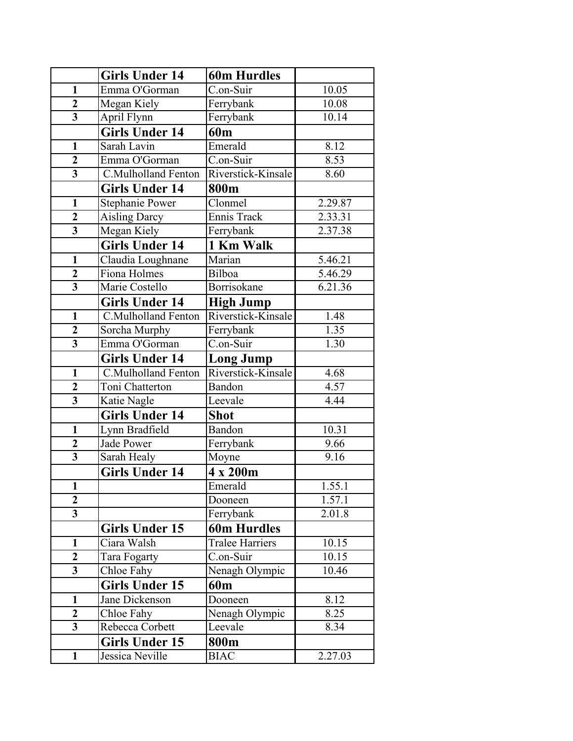|                         | <b>Girls Under 14</b> | <b>60m Hurdles</b>      |                      |
|-------------------------|-----------------------|-------------------------|----------------------|
| $\mathbf{1}$            | Emma O'Gorman         | C.on-Suir               | 10.05                |
| $\overline{2}$          | Megan Kiely           | Ferrybank               | 10.08                |
| $\overline{3}$          | April Flynn           | Ferrybank               | $10.\overline{14}$   |
|                         | <b>Girls Under 14</b> | 60 <sub>m</sub>         |                      |
| $\mathbf{1}$            | Sarah Lavin           | Emerald                 | 8.12                 |
| $\overline{2}$          | Emma O'Gorman         | $\overline{C}$ .on-Suir | 8.53                 |
| $\overline{3}$          | C.Mulholland Fenton   | Riverstick-Kinsale      | 8.60                 |
|                         | <b>Girls Under 14</b> | 800m                    |                      |
| $\mathbf{1}$            | Stephanie Power       | Clonmel                 | 2.29.87              |
| $\overline{2}$          | <b>Aisling Darcy</b>  | Ennis Track             | $2.33.\overline{31}$ |
| $\overline{3}$          | Megan Kiely           | Ferrybank               | 2.37.38              |
|                         | <b>Girls Under 14</b> | 1 Km Walk               |                      |
| $\mathbf{1}$            | Claudia Loughnane     | Marian                  | 5.46.21              |
| $\boldsymbol{2}$        | Fiona Holmes          | Bilboa                  | 5.46.29              |
| $\overline{\mathbf{3}}$ | Marie Costello        | Borrisokane             | 6.21.36              |
|                         | <b>Girls Under 14</b> | <b>High Jump</b>        |                      |
| $\mathbf{1}$            | C.Mulholland Fenton   | Riverstick-Kinsale      | 1.48                 |
| $\boldsymbol{2}$        | Sorcha Murphy         | Ferrybank               | 1.35                 |
| $\overline{\mathbf{3}}$ | Emma O'Gorman         | C.on-Suir               | 1.30                 |
|                         | <b>Girls Under 14</b> | <b>Long Jump</b>        |                      |
| $\mathbf{1}$            | C.Mulholland Fenton   | Riverstick-Kinsale      | 4.68                 |
| $\overline{2}$          | Toni Chatterton       | Bandon                  | 4.57                 |
| $\overline{\mathbf{3}}$ | Katie Nagle           | Leevale                 | 4.44                 |
|                         | <b>Girls Under 14</b> | <b>Shot</b>             |                      |
| $\mathbf{1}$            | Lynn Bradfield        | Bandon                  | 10.31                |
| $\overline{2}$          | <b>Jade Power</b>     | Ferrybank               | 9.66                 |
| $\overline{\mathbf{3}}$ | Sarah Healy           | Moyne                   | 9.16                 |
|                         | <b>Girls Under 14</b> | 4 x 200m                |                      |
| $\mathbf{1}$            |                       | Emerald                 | 1.55.1               |
| $\overline{2}$          |                       | Dooneen                 | 1.57.1               |
| $\overline{\mathbf{3}}$ |                       | Ferrybank               | 2.01.8               |
|                         | Girls Under 15        | <b>60m Hurdles</b>      |                      |
| $\mathbf{1}$            | Ciara Walsh           | <b>Tralee Harriers</b>  | 10.15                |
| $\mathbf{2}$            | Tara Fogarty          | C.on-Suir               | 10.15                |
| $\overline{3}$          | Chloe Fahy            | Nenagh Olympic          | 10.46                |
|                         | <b>Girls Under 15</b> | 60 <sub>m</sub>         |                      |
| $\mathbf{1}$            | Jane Dickenson        | Dooneen                 | 8.12                 |
| $\overline{2}$          | Chloe Fahy            | Nenagh Olympic          | 8.25                 |
| $\overline{\mathbf{3}}$ | Rebecca Corbett       | Leevale                 | 8.34                 |
|                         | <b>Girls Under 15</b> | 800m                    |                      |
| $\mathbf{1}$            | Jessica Neville       | <b>BIAC</b>             | 2.27.03              |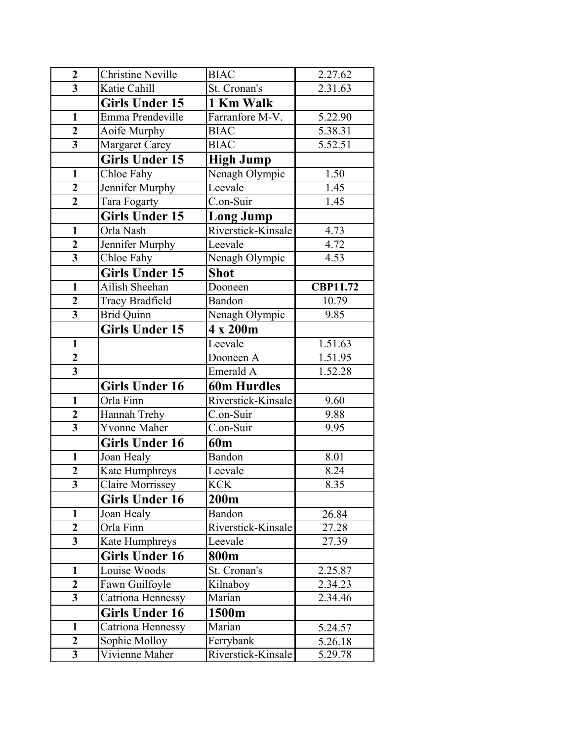| $\overline{2}$          | <b>Christine Neville</b> | <b>BIAC</b>        | 2.27.62         |
|-------------------------|--------------------------|--------------------|-----------------|
| $\overline{\mathbf{3}}$ | Katie Cahill             | St. Cronan's       | 2.31.63         |
|                         | <b>Girls Under 15</b>    | 1 Km Walk          |                 |
| $\mathbf{1}$            | Emma Prendeville         | Farranfore M-V.    | 5.22.90         |
| $\overline{2}$          | Aoife Murphy             | <b>BIAC</b>        | 5.38.31         |
| $\overline{\mathbf{3}}$ | <b>Margaret Carey</b>    | <b>BIAC</b>        | 5.52.51         |
|                         | <b>Girls Under 15</b>    | <b>High Jump</b>   |                 |
| $\mathbf{1}$            | Chloe Fahy               | Nenagh Olympic     | 1.50            |
| $\overline{2}$          | Jennifer Murphy          | Leevale            | 1.45            |
| $\overline{2}$          | Tara Fogarty             | C.on-Suir          | 1.45            |
|                         | <b>Girls Under 15</b>    | <b>Long Jump</b>   |                 |
| $\mathbf{1}$            | Orla Nash                | Riverstick-Kinsale | 4.73            |
| $\overline{2}$          | Jennifer Murphy          | Leevale            | 4.72            |
| $\overline{\mathbf{3}}$ | Chloe Fahy               | Nenagh Olympic     | 4.53            |
|                         | <b>Girls Under 15</b>    | <b>Shot</b>        |                 |
| $\mathbf{1}$            | Ailish Sheehan           | Dooneen            | <b>CBP11.72</b> |
| $\overline{2}$          | <b>Tracy Bradfield</b>   | Bandon             | 10.79           |
| $\overline{\mathbf{3}}$ | <b>Brid Quinn</b>        | Nenagh Olympic     | 9.85            |
|                         | <b>Girls Under 15</b>    | 4 x 200m           |                 |
| $\mathbf{1}$            |                          | Leevale            | 1.51.63         |
| $\overline{2}$          |                          | Dooneen A          | 1.51.95         |
| $\overline{\mathbf{3}}$ |                          | Emerald A          | 1.52.28         |
|                         | <b>Girls Under 16</b>    | <b>60m Hurdles</b> |                 |
| $\mathbf{1}$            | Orla Finn                | Riverstick-Kinsale | 9.60            |
| $\overline{2}$          | Hannah Trehy             | C.on-Suir          | 9.88            |
| $\overline{\mathbf{3}}$ | <b>Yvonne Maher</b>      | C.on-Suir          | 9.95            |
|                         | <b>Girls Under 16</b>    | 60 <sub>m</sub>    |                 |
| $\mathbf{1}$            | Joan Healy               | Bandon             | 8.01            |
| $\overline{2}$          | Kate Humphreys           | Leevale            | 8.24            |
| 3                       | <b>Claire Morrissey</b>  | <b>KCK</b>         | 8.35            |
|                         | Girls Under 16           | 200m               |                 |
| $\mathbf{1}$            | Joan Healy               | Bandon             | 26.84           |
| $\overline{2}$          | Orla Finn                | Riverstick-Kinsale | 27.28           |
| $\overline{\mathbf{3}}$ | Kate Humphreys           | Leevale            | 27.39           |
|                         | <b>Girls Under 16</b>    | 800m               |                 |
| $\mathbf{1}$            | Louise Woods             | St. Cronan's       | 2.25.87         |
| $\mathbf{2}$            | Fawn Guilfoyle           | Kilnaboy           | 2.34.23         |
| $\overline{\mathbf{3}}$ | Catriona Hennessy        | Marian             | 2.34.46         |
|                         | <b>Girls Under 16</b>    | 1500m              |                 |
| $\mathbf{1}$            | Catriona Hennessy        | Marian             | 5.24.57         |
| $\mathbf{2}$            | Sophie Molloy            | Ferrybank          | 5.26.18         |
| $\mathbf{3}$            | Vivienne Maher           | Riverstick-Kinsale | 5.29.78         |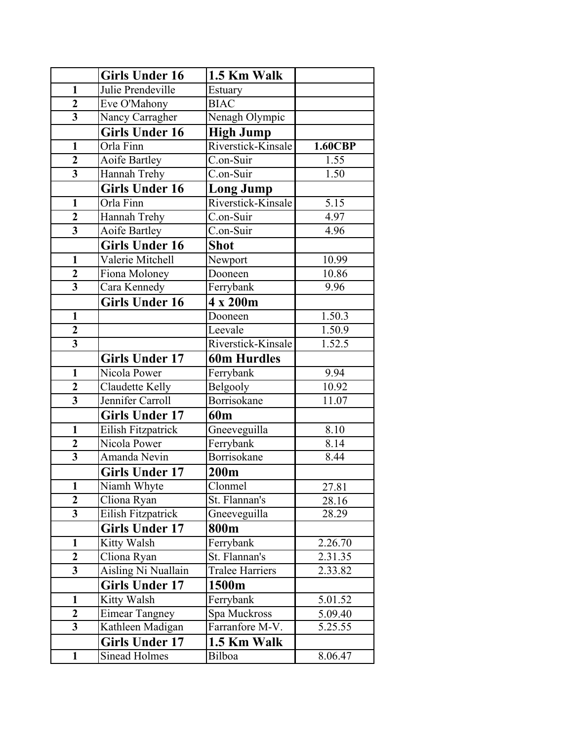|                         | <b>Girls Under 16</b> | 1.5 Km Walk            |                |
|-------------------------|-----------------------|------------------------|----------------|
| $\mathbf{1}$            | Julie Prendeville     | Estuary                |                |
| $\overline{2}$          | Eve O'Mahony          | <b>BIAC</b>            |                |
| $\overline{\mathbf{3}}$ | Nancy Carragher       | Nenagh Olympic         |                |
|                         | <b>Girls Under 16</b> | <b>High Jump</b>       |                |
| $\mathbf{1}$            | Orla Finn             | Riverstick-Kinsale     | <b>1.60CBP</b> |
| $\overline{2}$          | Aoife Bartley         | C.on-Suir              | 1.55           |
| $\overline{\mathbf{3}}$ | Hannah Trehy          | C.on-Suir              | 1.50           |
|                         | <b>Girls Under 16</b> | <b>Long Jump</b>       |                |
| $\mathbf{1}$            | Orla Finn             | Riverstick-Kinsale     | 5.15           |
| $\overline{2}$          | Hannah Trehy          | C.on-Suir              | 4.97           |
| $\overline{\mathbf{3}}$ | Aoife Bartley         | C.on-Suir              | 4.96           |
|                         | <b>Girls Under 16</b> | <b>Shot</b>            |                |
| $\mathbf{1}$            | Valerie Mitchell      | Newport                | 10.99          |
| $\overline{\mathbf{c}}$ | Fiona Moloney         | Dooneen                | 10.86          |
| $\overline{3}$          | Cara Kennedy          | Ferrybank              | 9.96           |
|                         | <b>Girls Under 16</b> | 4 x 200m               |                |
| $\mathbf{1}$            |                       | Dooneen                | 1.50.3         |
| $\overline{2}$          |                       | Leevale                | 1.50.9         |
| $\overline{\mathbf{3}}$ |                       | Riverstick-Kinsale     | 1.52.5         |
|                         | <b>Girls Under 17</b> | <b>60m Hurdles</b>     |                |
| $\mathbf{1}$            | Nicola Power          | Ferrybank              | 9.94           |
| $\boldsymbol{2}$        | Claudette Kelly       | Belgooly               | 10.92          |
| $\overline{\mathbf{3}}$ | Jennifer Carroll      | Borrisokane            | 11.07          |
|                         | <b>Girls Under 17</b> | 60 <sub>m</sub>        |                |
| $\mathbf{1}$            | Eilish Fitzpatrick    | Gneeveguilla           | 8.10           |
| $\overline{2}$          | Nicola Power          | Ferrybank              | 8.14           |
| $\overline{\mathbf{3}}$ | Amanda Nevin          | Borrisokane            | 8.44           |
|                         | <b>Girls Under 17</b> | 200m                   |                |
| $\mathbf{1}$            | Niamh Whyte           | Clonmel                | 27.81          |
| $\overline{2}$          | Cliona Ryan           | St. Flannan's          | 28.16          |
| $\overline{\mathbf{3}}$ | Eilish Fitzpatrick    | Gneeveguilla           | 28.29          |
|                         | <b>Girls Under 17</b> | 800m                   |                |
| $\mathbf{1}$            | Kitty Walsh           | Ferrybank              | 2.26.70        |
| $\overline{2}$          | Cliona Ryan           | St. Flannan's          | 2.31.35        |
| $\overline{3}$          | Aisling Ni Nuallain   | <b>Tralee Harriers</b> | 2.33.82        |
|                         | <b>Girls Under 17</b> | 1500m                  |                |
| $\mathbf{1}$            | Kitty Walsh           | Ferrybank              | 5.01.52        |
| $\overline{2}$          | <b>Eimear Tangney</b> | Spa Muckross           | 5.09.40        |
| $\mathbf{3}$            | Kathleen Madigan      | Farranfore M-V.        | 5.25.55        |
|                         | <b>Girls Under 17</b> | 1.5 Km Walk            |                |
| $\mathbf{1}$            | <b>Sinead Holmes</b>  | Bilboa                 | 8.06.47        |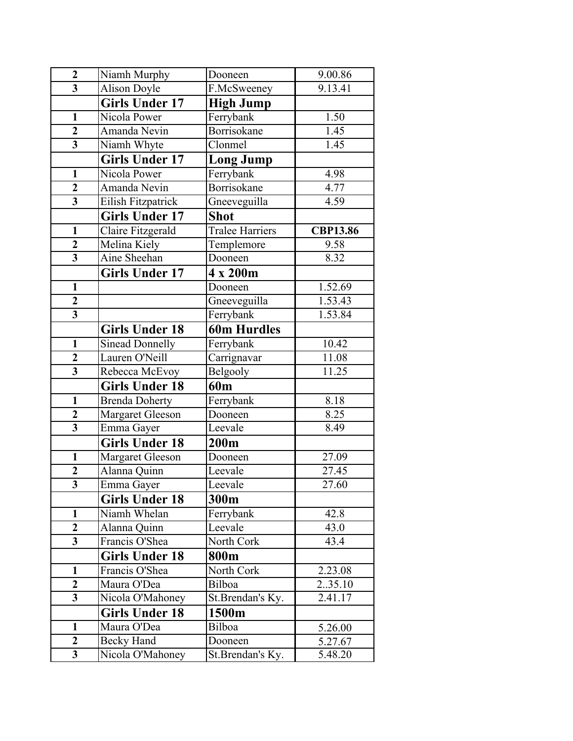| $\overline{2}$          | Niamh Murphy           | Dooneen                | 9.00.86         |
|-------------------------|------------------------|------------------------|-----------------|
| $\overline{\mathbf{3}}$ | <b>Alison Doyle</b>    | F.McSweeney            | 9.13.41         |
|                         | <b>Girls Under 17</b>  | <b>High Jump</b>       |                 |
| $\mathbf{1}$            | Nicola Power           | Ferrybank              | 1.50            |
| $\overline{2}$          | Amanda Nevin           | Borrisokane            | 1.45            |
| $\overline{\mathbf{3}}$ | Niamh Whyte            | Clonmel                | 1.45            |
|                         | <b>Girls Under 17</b>  | <b>Long Jump</b>       |                 |
| $\mathbf{1}$            | Nicola Power           | Ferrybank              | 4.98            |
| $\overline{2}$          | Amanda Nevin           | Borrisokane            | 4.77            |
| $\overline{\mathbf{3}}$ | Eilish Fitzpatrick     | Gneeveguilla           | 4.59            |
|                         | <b>Girls Under 17</b>  | <b>Shot</b>            |                 |
| $\mathbf{1}$            | Claire Fitzgerald      | <b>Tralee Harriers</b> | <b>CBP13.86</b> |
| $\overline{2}$          | Melina Kiely           | Templemore             | 9.58            |
| $\overline{\mathbf{3}}$ | Aine Sheehan           | Dooneen                | 8.32            |
|                         | <b>Girls Under 17</b>  | 4 x 200m               |                 |
| $\mathbf{1}$            |                        | Dooneen                | 1.52.69         |
| $\overline{2}$          |                        | Gneeveguilla           | 1.53.43         |
| $\overline{\mathbf{3}}$ |                        | Ferrybank              | 1.53.84         |
|                         | <b>Girls Under 18</b>  | <b>60m Hurdles</b>     |                 |
| $\mathbf{1}$            | <b>Sinead Donnelly</b> | Ferrybank              | 10.42           |
| $\overline{\mathbf{2}}$ | Lauren O'Neill         | Carrignavar            | 11.08           |
| $\overline{\mathbf{3}}$ | Rebecca McEvoy         | Belgooly               | 11.25           |
|                         | <b>Girls Under 18</b>  | 60 <sub>m</sub>        |                 |
| $\mathbf{1}$            | <b>Brenda Doherty</b>  | Ferrybank              | 8.18            |
| $\boldsymbol{2}$        | Margaret Gleeson       | Dooneen                | 8.25            |
| $\overline{\mathbf{3}}$ | Emma Gayer             | Leevale                | 8.49            |
|                         | <b>Girls Under 18</b>  | 200m                   |                 |
| $\mathbf{1}$            | Margaret Gleeson       | Dooneen                | 27.09           |
| $\overline{2}$          | Alanna Quinn           | Leevale                | 27.45           |
| $\overline{\mathbf{3}}$ | Emma Gayer             | Leevale                | <b>27.60</b>    |
|                         | <b>Girls Under 18</b>  | 300m                   |                 |
| $\mathbf{1}$            | Niamh Whelan           | Ferrybank              | 42.8            |
| $\overline{2}$          | Alanna Quinn           | Leevale                | 43.0            |
| $\overline{\mathbf{3}}$ | Francis O'Shea         | North Cork             | 43.4            |
|                         | <b>Girls Under 18</b>  | 800m                   |                 |
| $\mathbf{1}$            | Francis O'Shea         | North Cork             | 2.23.08         |
| $\mathbf{2}$            | Maura O'Dea            | Bilboa                 | 2.35.10         |
| $\overline{\mathbf{3}}$ | Nicola O'Mahoney       | St.Brendan's Ky.       | 2.41.17         |
|                         | <b>Girls Under 18</b>  | 1500m                  |                 |
| $\mathbf{1}$            | Maura O'Dea            | Bilboa                 | 5.26.00         |
| $\mathbf{2}$            | Becky Hand             | Dooneen                | 5.27.67         |
| $\overline{\mathbf{3}}$ | Nicola O'Mahoney       | St.Brendan's Ky.       | 5.48.20         |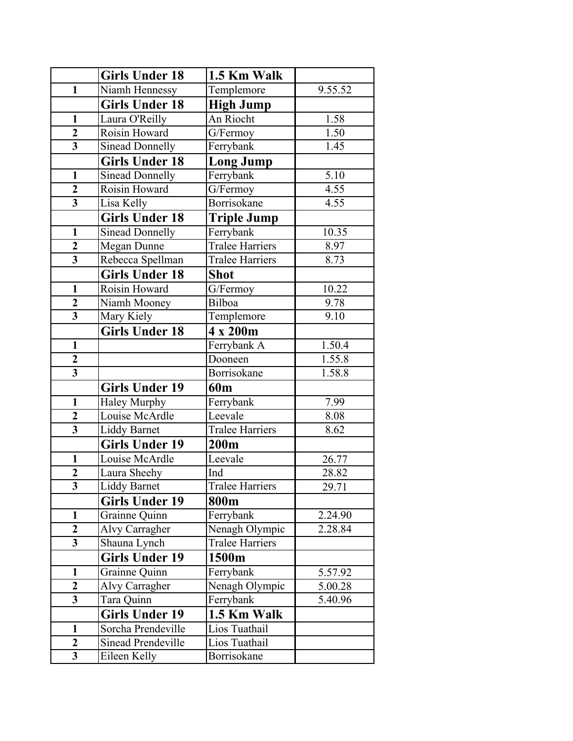|                         | <b>Girls Under 18</b>     | 1.5 Km Walk            |         |
|-------------------------|---------------------------|------------------------|---------|
| $\mathbf{1}$            | Niamh Hennessy            | Templemore             | 9.55.52 |
|                         | <b>Girls Under 18</b>     | <b>High Jump</b>       |         |
| $\mathbf{1}$            | Laura O'Reilly            | An Riocht              | 1.58    |
| $\overline{2}$          | Roisin Howard             | G/Fermoy               | 1.50    |
| $\overline{\mathbf{3}}$ | Sinead Donnelly           | Ferrybank              | 1.45    |
|                         | <b>Girls Under 18</b>     | <b>Long Jump</b>       |         |
| $\mathbf{1}$            | <b>Sinead Donnelly</b>    | Ferrybank              | 5.10    |
| $\overline{2}$          | Roisin Howard             | G/Fermoy               | 4.55    |
| $\overline{\mathbf{3}}$ | Lisa Kelly                | Borrisokane            | 4.55    |
|                         | <b>Girls Under 18</b>     | <b>Triple Jump</b>     |         |
| $\mathbf{1}$            | Sinead Donnelly           | Ferrybank              | 10.35   |
| $\overline{2}$          | Megan Dunne               | <b>Tralee Harriers</b> | 8.97    |
| $\overline{\mathbf{3}}$ | Rebecca Spellman          | <b>Tralee Harriers</b> | 8.73    |
|                         | <b>Girls Under 18</b>     | <b>Shot</b>            |         |
| $\mathbf{1}$            | Roisin Howard             | G/Fermoy               | 10.22   |
| $\boldsymbol{2}$        | Niamh Mooney              | Bilboa                 | 9.78    |
| $\overline{\mathbf{3}}$ | Mary Kiely                | Templemore             | 9.10    |
|                         | <b>Girls Under 18</b>     | 4 x 200m               |         |
| $\mathbf{1}$            |                           | Ferrybank A            | 1.50.4  |
| $\overline{2}$          |                           | Dooneen                | 1.55.8  |
| $\overline{\mathbf{3}}$ |                           | Borrisokane            | 1.58.8  |
|                         | <b>Girls Under 19</b>     | 60 <sub>m</sub>        |         |
| $\mathbf{1}$            | <b>Haley Murphy</b>       | Ferrybank              | 7.99    |
| $\overline{2}$          | Louise McArdle            | Leevale                | 8.08    |
| $\overline{\mathbf{3}}$ | <b>Liddy Barnet</b>       | <b>Tralee Harriers</b> | 8.62    |
|                         | <b>Girls Under 19</b>     | 200m                   |         |
| $\mathbf{1}$            | Louise McArdle            | Leevale                | 26.77   |
| $\overline{2}$          | Laura Sheehy              | Ind                    | 28.82   |
| $\overline{\mathbf{3}}$ | Liddy Barnet              | <b>Tralee Harriers</b> | 29.71   |
|                         | <b>Girls Under 19</b>     | 800m                   |         |
| $\mathbf{1}$            | Grainne Quinn             | Ferrybank              | 2.24.90 |
| $\overline{2}$          | Alvy Carragher            | Nenagh Olympic         | 2.28.84 |
| 3                       | Shauna Lynch              | <b>Tralee Harriers</b> |         |
|                         | <b>Girls Under 19</b>     | 1500m                  |         |
| $\mathbf{1}$            | Grainne Quinn             | Ferrybank              | 5.57.92 |
| $\overline{2}$          | Alvy Carragher            | Nenagh Olympic         | 5.00.28 |
| $\overline{\mathbf{3}}$ | Tara Quinn                | Ferrybank              | 5.40.96 |
|                         | <b>Girls Under 19</b>     | 1.5 Km Walk            |         |
| $\mathbf{1}$            | Sorcha Prendeville        | Lios Tuathail          |         |
| $\overline{2}$          | <b>Sinead Prendeville</b> | Lios Tuathail          |         |
| $\overline{\mathbf{3}}$ | Eileen Kelly              | Borrisokane            |         |